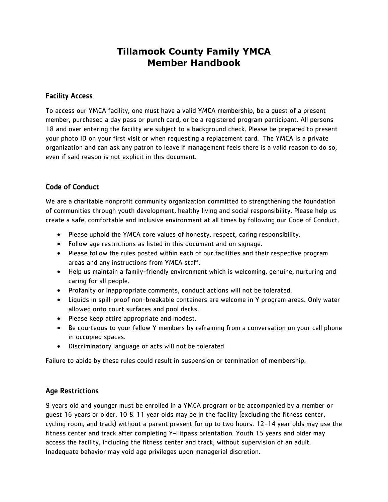# **Tillamook County Family YMCA Member Handbook**

# Facility Access

To access our YMCA facility, one must have a valid YMCA membership, be a guest of a present member, purchased a day pass or punch card, or be a registered program participant. All persons 18 and over entering the facility are subject to a background check. Please be prepared to present your photo ID on your first visit or when requesting a replacement card. The YMCA is a private organization and can ask any patron to leave if management feels there is a valid reason to do so, even if said reason is not explicit in this document.

# Code of Conduct

We are a charitable nonprofit community organization committed to strengthening the foundation of communities through youth development, healthy living and social responsibility. Please help us create a safe, comfortable and inclusive environment at all times by following our Code of Conduct.

- Please uphold the YMCA core values of honesty, respect, caring responsibility.
- Follow age restrictions as listed in this document and on signage.
- Please follow the rules posted within each of our facilities and their respective program areas and any instructions from YMCA staff.
- Help us maintain a family-friendly environment which is welcoming, genuine, nurturing and caring for all people.
- Profanity or inappropriate comments, conduct actions will not be tolerated.
- Liquids in spill-proof non-breakable containers are welcome in Y program areas. Only water allowed onto court surfaces and pool decks.
- Please keep attire appropriate and modest.
- Be courteous to your fellow Y members by refraining from a conversation on your cell phone in occupied spaces.
- Discriminatory language or acts will not be tolerated

Failure to abide by these rules could result in suspension or termination of membership.

# Age Restrictions

9 years old and younger must be enrolled in a YMCA program or be accompanied by a member or guest 16 years or older. 10 & 11 year olds may be in the facility (excluding the fitness center, cycling room, and track) without a parent present for up to two hours. 12-14 year olds may use the fitness center and track after completing Y-Fitpass orientation. Youth 15 years and older may access the facility, including the fitness center and track, without supervision of an adult. Inadequate behavior may void age privileges upon managerial discretion.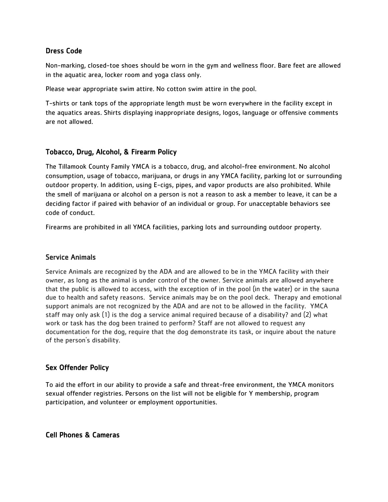## Dress Code

Non-marking, closed-toe shoes should be worn in the gym and wellness floor. Bare feet are allowed in the aquatic area, locker room and yoga class only.

Please wear appropriate swim attire. No cotton swim attire in the pool.

T-shirts or tank tops of the appropriate length must be worn everywhere in the facility except in the aquatics areas. Shirts displaying inappropriate designs, logos, language or offensive comments are not allowed.

## Tobacco, Drug, Alcohol, & Firearm Policy

The Tillamook County Family YMCA is a tobacco, drug, and alcohol-free environment. No alcohol consumption, usage of tobacco, marijuana, or drugs in any YMCA facility, parking lot or surrounding outdoor property. In addition, using E-cigs, pipes, and vapor products are also prohibited. While the smell of marijuana or alcohol on a person is not a reason to ask a member to leave, it can be a deciding factor if paired with behavior of an individual or group. For unacceptable behaviors see code of conduct.

Firearms are prohibited in all YMCA facilities, parking lots and surrounding outdoor property.

## Service Animals

Service Animals are recognized by the ADA and are allowed to be in the YMCA facility with their owner, as long as the animal is under control of the owner. Service animals are allowed anywhere that the public is allowed to access, with the exception of in the pool (in the water) or in the sauna due to health and safety reasons. Service animals may be on the pool deck. Therapy and emotional support animals are not recognized by the ADA and are not to be allowed in the facility. YMCA staff may only ask (1) is the dog a service animal required because of a disability? and (2) what work or task has the dog been trained to perform? Staff are not allowed to request any documentation for the dog, require that the dog demonstrate its task, or inquire about the nature of the person's disability.

# Sex Offender Policy

To aid the effort in our ability to provide a safe and threat-free environment, the YMCA monitors sexual offender registries. Persons on the list will not be eligible for Y membership, program participation, and volunteer or employment opportunities.

## Cell Phones & Cameras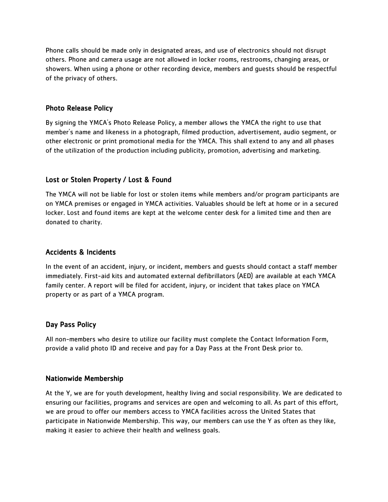Phone calls should be made only in designated areas, and use of electronics should not disrupt others. Phone and camera usage are not allowed in locker rooms, restrooms, changing areas, or showers. When using a phone or other recording device, members and guests should be respectful of the privacy of others.

#### Photo Release Policy

By signing the YMCA's Photo Release Policy, a member allows the YMCA the right to use that member's name and likeness in a photograph, filmed production, advertisement, audio segment, or other electronic or print promotional media for the YMCA. This shall extend to any and all phases of the utilization of the production including publicity, promotion, advertising and marketing.

#### Lost or Stolen Property / Lost & Found

The YMCA will not be liable for lost or stolen items while members and/or program participants are on YMCA premises or engaged in YMCA activities. Valuables should be left at home or in a secured locker. Lost and found items are kept at the welcome center desk for a limited time and then are donated to charity.

#### Accidents & Incidents

In the event of an accident, injury, or incident, members and guests should contact a staff member immediately. First-aid kits and automated external defibrillators (AED) are available at each YMCA family center. A report will be filed for accident, injury, or incident that takes place on YMCA property or as part of a YMCA program.

#### Day Pass Policy

All non-members who desire to utilize our facility must complete the Contact Information Form, provide a valid photo ID and receive and pay for a Day Pass at the Front Desk prior to.

#### Nationwide Membership

At the Y, we are for youth development, healthy living and social responsibility. We are dedicated to ensuring our facilities, programs and services are open and welcoming to all. As part of this effort, we are proud to offer our members access to YMCA facilities across the United States that participate in Nationwide Membership. This way, our members can use the Y as often as they like, making it easier to achieve their health and wellness goals.